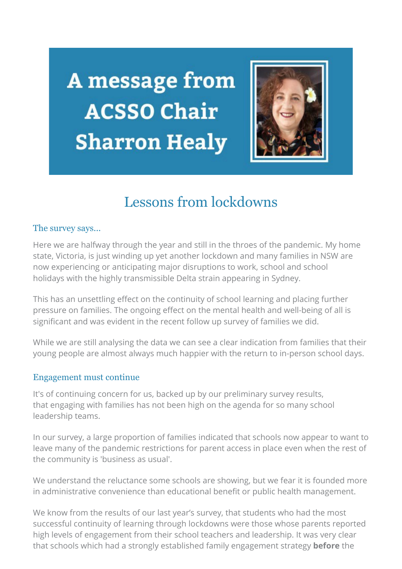A message from **ACSSO Chair Sharron Healy** 



# Lessons from lockdowns

### The survey says...

Here we are halfway through the year and still in the throes of the pandemic. My home state, Victoria, is just winding up yet another lockdown and many families in NSW are now experiencing or anticipating major disruptions to work, school and school holidays with the highly transmissible Delta strain appearing in Sydney.

This has an unsettling effect on the continuity of school learning and placing further pressure on families. The ongoing effect on the mental health and well-being of all is significant and was evident in the recent follow up survey of families we did.

While we are still analysing the data we can see a clear indication from families that their young people are almost always much happier with the return to in-person school days.

### Engagement must continue

It's of continuing concern for us, backed up by our preliminary survey results, that engaging with families has not been high on the agenda for so many school leadership teams.

In our survey, a large proportion of families indicated that schools now appear to want to leave many of the pandemic restrictions for parent access in place even when the rest of the community is 'business as usual'.

We understand the reluctance some schools are showing, but we fear it is founded more in administrative convenience than educational benefit or public health management.

We know from the results of our last year's survey, that students who had the most successful continuity of learning through lockdowns were those whose parents reported high levels of engagement from their school teachers and leadership. It was very clear that schools which had a strongly established family engagement strategy **before** the